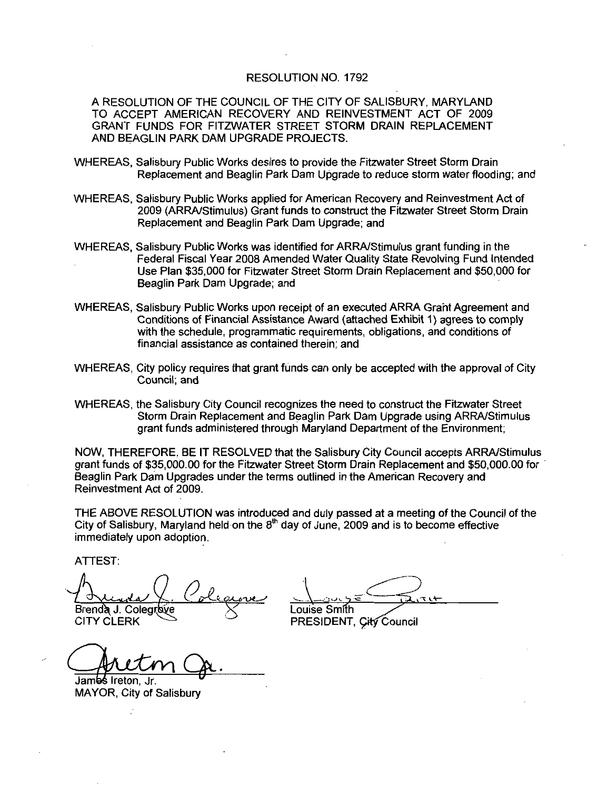#### RESOLUTION NO. 1792

A RESOLUTION OF THE COUNCIL OF THE CITY OF SALISBURY MARYLAND TO ACCEPT AMERICAN RECOVERY AND REINVESTMENT ACT OF 2009 GRANT FUNDS FOR FITZWATER STREET STORM DRAIN REPLACEMENT AND BEAGLIN PARK DAM UPGRADE PROJECTS

- WHEREAS Salisbury Public Works desires to provide the Fitzwater Street Storm Drain Replacement and Beaglin Park Dam Upgrade to reduce storm water flooding; and
- WHEREAS, Salisbury Public Works applied for American Recovery and Reinvestment Act of 2009 (ARRA/Stimulus) Grant funds to construct the Fitzwater Street Storm Drain Replacement and Beaglin Park Dam Upgrade; and
- WHEREAS, Salisbury Public Works was identified for ARRA/Stimulus grant funding in the Federal Fiscal Year 2008 Amended Water Quality State Revolving Fund Intended Use Plan \$35,000 for Fitzwater Street Storm Drain Replacement and \$50,000 for Beaglin Park Dam Upgrade: and
- WHEREAS, Salisbury Public Works upon receipt of an executed ARRA Grant Agreement and Conditions of Financial Assistance Award (attached Exhibit 1) agrees to comply with the schedule, programmatic requirements, obligations, and conditions of financial assistance as contained therein: and
- WHEREAS, City policy requires that grant funds can only be accepted with the approval of City Council; and
- WHEREAS, the Salisbury City Council recognizes the need to construct the Fitzwater Street Storm Drain Replacement and Beaglin Park Dam Upgrade using ARRA/Stimulus grant funds administered through Maryland Department of the Environment:

NOW, THEREFORE, BE IT RESOLVED that the Salisbury City Council accepts ARRA/Stimulus<br>grant funds of \$35,000.00 for the Fitzwater Street Storm Drain Replacement and \$50,000.00 for<br>Beaglin Park Dam Upgrades under the terms o Beaglin Park Dam Upgrades under the terms outlined in the American Recovery and Reinvestment Act of 2009

THE ABOVE RESOLUTION was introduced and duly passed at a meeting of the Council of the City of Salisbury, Maryland held on the  $8<sup>th</sup>$  day of June, 2009 and is to become effective immediately upon adoption

ATTEST

em Act of 2009.<br>VE RESOLUTION was introdusbury, Maryland held on the 8<br>y upon adoption.<br>Colegrave Colegrave Brenda J. Colegrove<br>CITY CLERK Aurile Colegieux Louise Smith<br>Brenda J. Colegiove Suite Smith<br>CITY CLERK PRESIDENT,

 $71+$ 

PRESIDENT, City Council

Jambs Ireton, Jr. MAYOR, City of Salisbury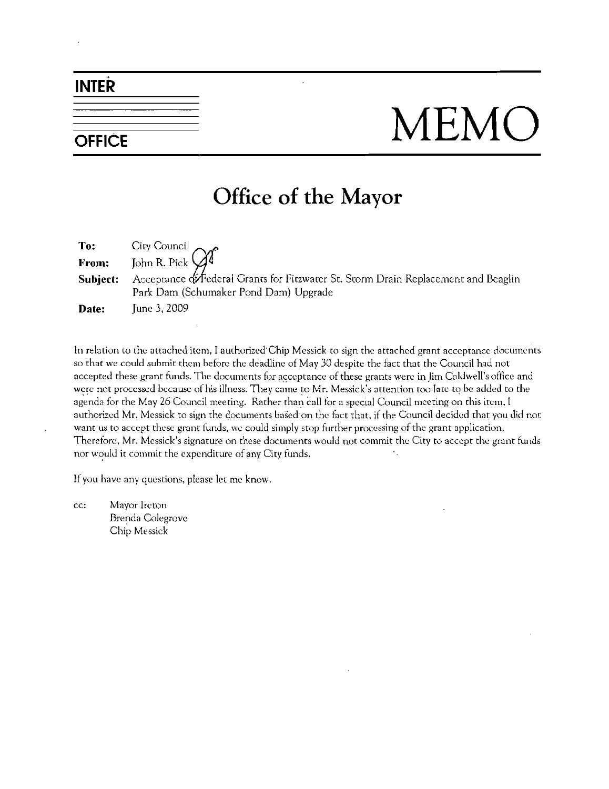## INTER

# OFFICE MEMO

## Office of the Mayor

To: City Council From: John R. Pick **Subject:** Acceptance  $\oint$  Federal Grants for Fitzwater St. Storm Drain Replacement and Beaglin Park Dam (Schumaker Pond Dam) Upgrade **Date:** June 3, 2009

In relation to the attached item, I authorized Chip Messick to sign the attached grant acceptance documents so that we could submit them before the deadline of May <sup>30</sup> despite the fact that the Council had not **Date:** June 3, 2009<br>In relation to the attached item, I authorized Chip Messick to sign the attached grant acceptance documer<br>so that we could submit them before the deadline of May 30 despite the fact that the Council ha In relation to the attached item, I authorized Chip Messick to sign the attached grant acceptance documers so that we could submit them before the deadline of May 30 despite the fact that the Council had not accepted these agenda for the May 26 Council meeting. Rather than call for a special Council meeting on this item, I authorized Mr. Messick to sign the documents based on the fact that, if the Council decided that you did not want us to accept these grant funds, we could simply stop further processing of the grant application. were not processed because of his illness. They came to Mr. Messick's attention too late to be added to the agenda for the May 26 Council meeting. Rather than call for a special Council meeting on this item, I authorized M nor would it commit the expenditure of any City funds.

If you have any questions, please let me know.

cc: Mayor Ireton Brenda Colegrovc Chip Messick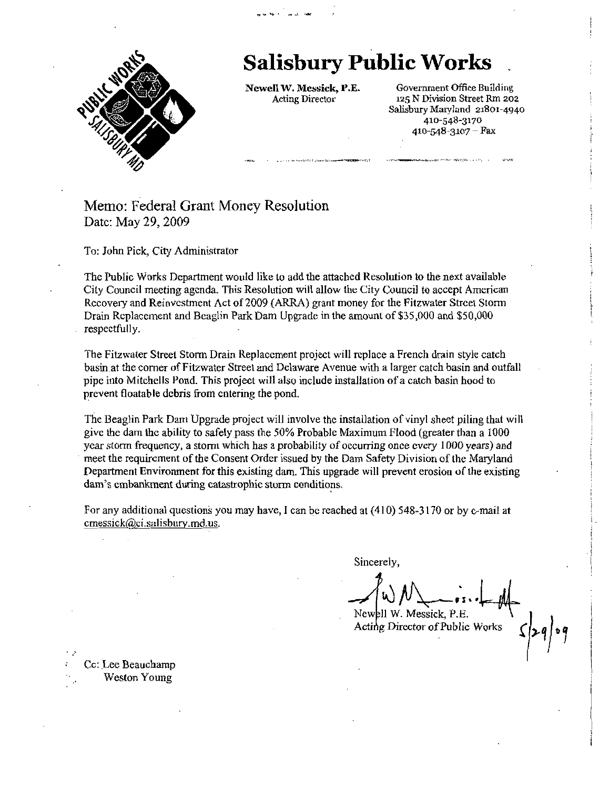

## Salisbury Public Works

Newell W. Messick, P.E. Acting Director

o<br>op <del>he</del> s<sup>o</sup> an ze m<del>he</del><br>.

Government Office Building 1z5 N Division Street Rm zo2 125 N Division Street Rm 202<br>Salisbury Maryland 21801-4940<br>410-548-3170<br>410-548-3107 – Fey 410-548-3170<br>410-548-3107 Fax

#### Memo: Federal Grant Money Resolution Date: May 29, 2009

To: John Pick, City Administrator

The Public Works Department would like to add the attached Resolution to the next available City Council meeting agenda This Resolution will allow the City Council to accept American Recovery and Reinvestment Act of 2009 (ARRA) grant money for the Fitzwater Street Storm Drain Replacement and Beaglin Park Dam Upgrade in the amount of \$35,000 and \$50,000 respectfully.

The Fitzwater Street Storm Drain Replacement project will replace <sup>a</sup> French drain style catch basin at the comerofFitzwater Street and Delaware Avenue with <sup>a</sup> larger catch basin and outfall pipe into Mitchells Pond. This project will also include installation of a catch basin hood to prevent floatable debris from entering the pond

The Beaglin Park Dam Upgrade project will involve the installation of vinyl sheet piling that will give the dam the ability to safely pass the 50% Probable Maximum Flood (greater than a 1000 year storm frequency, a storm which has a probability of occurring once every 1000 years) and meet the requirement of the Consent Order issued by the Dam Safety Division of the Maryland year storm frequency, a storm which has a probability of occurring once every 1000 years) and<br>meet the requirement of the Consent Order issued by the Dam Safety Division of the Maryland<br>Department Environment for this exis Department Environment for this existing dam. This upgrade will prevent erosion of the existidam's embankment during catastrophic storm conditions.<br>For any additional questions you may have, I can be reached at  $(410)$  54 give the dam the ability to safe<br>year storm frequency, a storm with<br>meet the requirement of the Co<br>Department Environment for the<br>dam's embankment during catal<br>For any additional questions ye<br>emessick@ci.salisbury.md.us.

Sincerely

 $N$  New PII W. Messick, P.E. bety Division of the M<br>prevent erosion of the<br>10) 548-3170 or by c-<br>rely,<br> $\bigcup_{s}$   $\bigcup_{s}$   $\bigcup_{s}$   $\bigcup_{s}$   $\bigcup_{s}$   $\bigcup_{s}$   $\bigcup_{s}$   $\bigcup_{s}$   $\bigcup_{s}$   $\bigcup_{s}$   $\bigcup_{s}$   $\bigcup_{s}$   $\bigcup_{s}$   $\bigcup_{s}$   $\bigcup_{s}$   $\bigcup_{s}$   $\bigcup$ 

Acting Director of Public Works

 $\frac{2q}{q}$ 

Cc: Lee Beauchamp Weston Young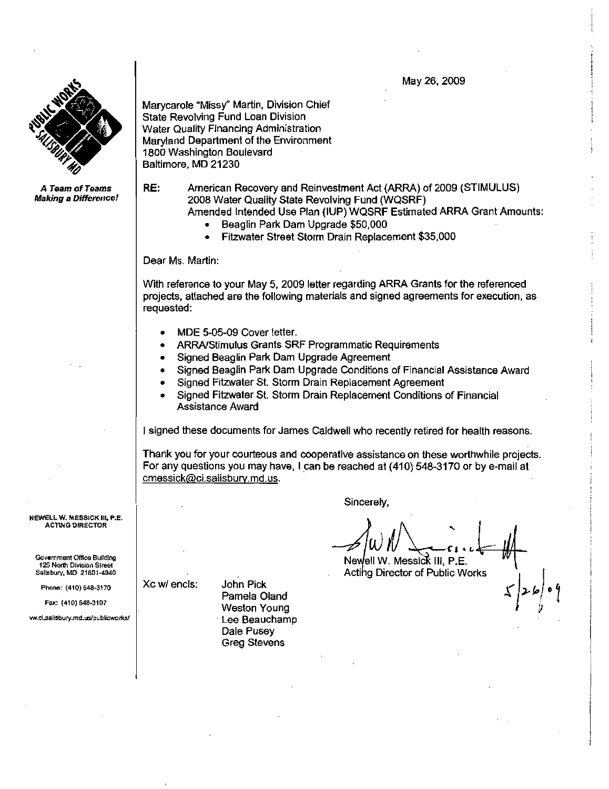May 26, 2009



A Team of Teams **Making a Difference!**  Marycarole "Missy" Martin, Division Chief State Revolving Fund Loan Division Water Quality Financing Administration Maryland Department of the Environment 1806 Washington Boulevard Baltimore, MD 21230

RE: American Recovery and Reinvestment Act (ARRA) of 2009 (STIMULUS) 2008 Water Quality State Revolving Fund WQSRF

- Amended Intended Use Plan (IUP) WQSRF Estimated ARRA Grant Amounts:<br>
 Beaglin Park Dam Upgrade \$50,000
	-
	- Beaglin Park Dam Upgrade \$50,000<br>Fitzwater Street Storm Drain Replacement \$35,000  $\bullet$

Dear Ms. Martin:

With reference to your May 5, 2009 letter regarding ARRA Grants for the referenced projects attached are thefollowing materials and signed agreements for execution as requested: Neferice to your may 5, 2009 letter regarding ARRA Grants, attached are the following materials and signed agreem<br>ted:<br>MDE 5-05-09 Cover letter.<br>ARRA/Stimulus Grants SRF Programmatic Requirements

- 
- 
- Signed Beaglin Park Dam Upgrade Agreement
- Signed Beaglin Park Dam Upgrade Conditions of Financial Assistance Award
- Signed Fitzwater St. Storm Drain Replacement Agreement
- Signed Fitzwater St. Storm Drain Replacement Conditions of Financial Assistance Award

<sup>I</sup> signed these documents for James Caldwell who recently retired for health reasons

Thank you for your courteous and cooperative assistance on these worthwhile projects Thank you for your courteous and cooperative assistance on these worthwhile projector any questions you may have, I can be reached at (410) 548-3170 or by e-mail at construct when<br>I signed these documents for Jan<br>Thank you for your courteous a<br>For any questions you may have<br>cmessick@ci.salisbury.md.us.

NEWELL W. MESSICK III, P.E. **ACTING DIRECTOR** 

Government Office Building Powermient Once Bullary<br>125 North Division Street<br>Sallsbury, MD 21801-4940<br>Phone: (410) 548-3170 Sallsbury, MD 21801-4940 NEWELL W. MESSICK III, P.E.<br>ACTING DIRECTOR<br>Government Office Bullding<br>125 North Division Street<br>Sallsbury, MD 21801-4940<br>Phone: (410) 548-3170<br>Fax: (410) 548-3107<br>ww.cl.sallsbury.md.us/publicworks/

Phone: (410) 548-3170<br>Fax: (410) 548-3107

Xc w/ encls: John Pick Pamela Oland Weston Young Lee Beauchamp Dale Pusey Greg Stevens

Sincerely,

V V V CHE

 $\mathcal{L}$   $\left| \mathcal{L} \varphi \right|$   $\circ \varphi$ 

Acting Director of Public Works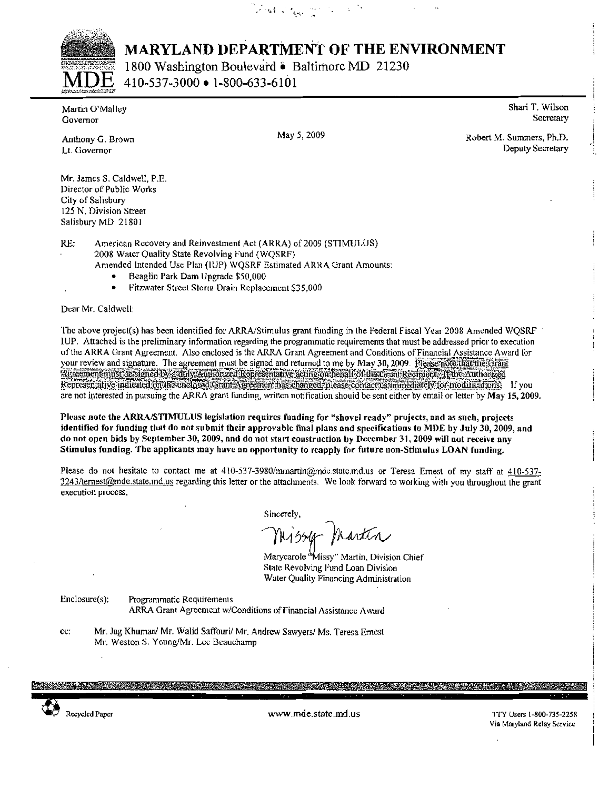West Copyright Co



**MARYLAND DEPARTMENT OF THE ENVIRONMENT** 

1800 Washington Boulevard • Baltimore MD 21230 410-537-3000 • 1-800-633-6101

Martin O'Mallev Governor

Shari T. Wilson Secretary

Anthony G. Brown Lt. Governor

May 5, 2009

Robert M. Summers, Ph.D. Deputy Secretary

Mr. James S. Caldwell, P.E. Director of Public Works City of Salisbury 125 N. Division Street Salisbury MD 21801

RE: American Recovery and Reinvestment Act (ARRA) of 2009 (STIMULUS) 2008 Water Quality State Revolving Fund (WQSRF) Amended Intended Use Plan (IUP) WQSRF Estimated ARRA Grant Amounts:

- Beaglin Park Dam Upgrade \$50,000
- Fitzwater Street Storm Drain Replacement \$35,000

Dear Mr. Caldwell:

The above project(s) has been identified for ARRA/Stimulus grant funding in the Federal Fiscal Year 2008 Amended WQSRF IUP. Attached is the preliminary information regarding the programmatic requirements that must be addressed prior to execution of the ARRA Grant Agreement. Also enclosed is the ARRA Grant Agreement and Conditions of Financial Assistance Award for your review and signature. The agreement must be signed and returned to me by May 30, 2009. Please note that the forant Agreement ninst the signed by a duly Authorized Ropresentative acting on behalf of the Grant Recipient. This Authorized Representative indicated on the chclosed Grant Agreement has changed, please contact us immediately for modifications. If you are not interested in pursuing the ARRA grant funding, written notification should be sent either by email or letter by May 15, 2009.

Please note the ARRA/STIMULUS legislation requires funding for "shovel ready" projects, and as such, projects identified for funding that do not submit their approvable final plans and specifications to MDE by July 30, 2009, and do not open bids by September 30, 2009, and do not start construction by December 31, 2009 will not receive any Stimulus funding. The applicants may have an opportunity to reapply for future non-Stimulus LOAN funding.

Please do not hesitate to contact me at 410-537-3980/mmartin@mdc.state.md.us or Teresa Ernest of my staff at 410-537-3243/ternest@mde.state.ind.us regarding this letter or the attachments. We look forward to working with you throughout the grant execution process,

Sincerely.

Nissy Martin

Marycarole "Missy" Martin, Division Chief State Revolving Fund Loan Division Water Quality Financing Administration

Enclosure(s):

Programmatic Requirements ARRA Grant Agreement w/Conditions of Financial Assistance Award

cc: Mr. Jag Khuman/ Mr. Walid Saffouri/ Mr. Andrew Sawyers/ Ms. Teresa Ernest Mr. Weston S. Young/Mr. Lee Beauchamp



www.mde.state.md.us

TTY Users 1-800-735-2258 Via Maryland Relay Service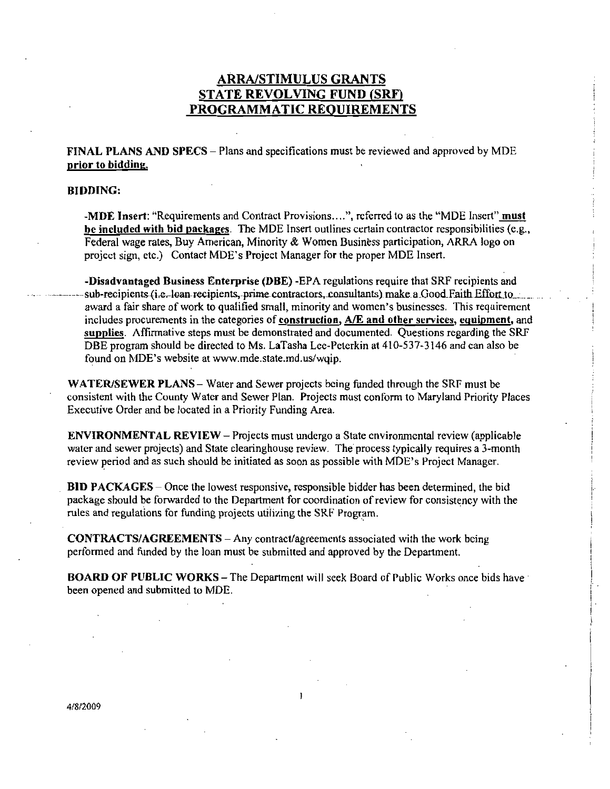#### ARRA/STIMULUS GRANTS STATE REVOLVING FUND (SRF) PROGRAMMATIC REQUIREMENTS

FINAL PLANS AND SPECS - Plans and specifications must be reviewed and approved by MDE prior to biddine

#### BIDDING

**MDE Insert:** "Requirements and Contract Provisions....", referred to as the "MDE Insert" **must**<br>be included with bid packages. The MDE Insert outlines certain contractor responsibilities (e.g.,<br>Eaderal wage rates, Buy, A Federal wage rates, Buy American, Minority & Women Business participation, ARRA logo on project sign. etc.) Contact MDE's Project Manager for the proper MDE Insert. -MDE Insert: "Requirements and Contract Provisions....", referred to as the "I<br>be included with bid packages. The MDE Insert outlines certain contractor re<br>Federal wage rates, Buy American, Minority & Women Business partic

-Disadvantaged Business Enterprise (DBE) - EPA regulations require that SRF recipients and **ARRA/STIMULUS GRANTS**<br> **STATE REVOLVING FUND (SRF)**<br> **PROGRAMMATIC REQUIREMENTS**<br> **PROGRAMMATIC REQUIREMENTS**<br> **FINAL PLANS AND SPECS – Plans and specifications must be reviewed and approved by MDE**<br> **prior to bidding.**<br> **RERACTINULUS GEANTS<br>
STATE REVOLVING FUND ISRD.**<br> **PROGRAMMATIC REQUIREMENTS**<br>
FROM THANS AND STRCS - Plums and specifications must be reviewed and approved by MDE<br>
REPART IN ANSIS THE THE SECTION OF THE SECTION CONSULTS sub-recipients (i.e.-loan recipients, prime contractors, consultants) make a Good Faith Effort to subsinesses.<br>award a fair share of work to qualified small, minority and women's businesses. This requirement includes procurements in the categories of construction,  $A/E$  and other services, equipment, and supplies. Affirmative steps must be demonstrated and documented. Questions regarding the SRF Disadvantaged Business Enterprise (DBE) -EPA regulations require that SRF recipients and sub-recipients (i.e. loan recipients, prime contractors, consultants) make a Good Faith Effort to award a fair share of work to quali **-Disadvantaged Business Enterprise (DBE)** -EPA regulasub-recipients (i.e.-loan recipients, prime contractors, cons award a fair share of work to qualified small, minority and includes procurements in the categories of **c** 

WATER/SEWER PLANS – Water and Sewer projects being funded through the SRF must be consistent with the County Water and Sewer Plan. Projects must conform to Maryland Priority Places Executive Order and be located in a Priority Funding Area.

 $ENVIRONMENTAL REVIEW - Projects must undergo a State environmental review (applied be)$ consistent with the County Water and Sewer Plan. Projects must conform to Maryland Priority Place<br>Executive Order and be located in a Priority Funding Area.<br>ENVIRONMENTAL REVIEW – Projects must undergo a State cnvironmenta Executive Order and be located in a Priority Funding Area.<br> **ENVIRONMENTAL REVIEW** – Projects must undergo a State cnvironmental review (applic<br>
water and sewer projects) and State clearinghouse review. The process typical

**BID PACKAGES** – Once the lowest responsive, responsible bidder has been determined, the bid package should be forwarded to the Department for coordination ofreview for consistency with the rules and regulations for funding projects utilizing the SRF Program

**CONTRACTS/AGREEMENTS** – Any contract/agreements associated with the work being performed and funded by the loan must be submitted and approved by the Department

BOARD OF PUBLIC WORKS – The Department will seek Board of Public Works once bids have been opened and submitted to MDE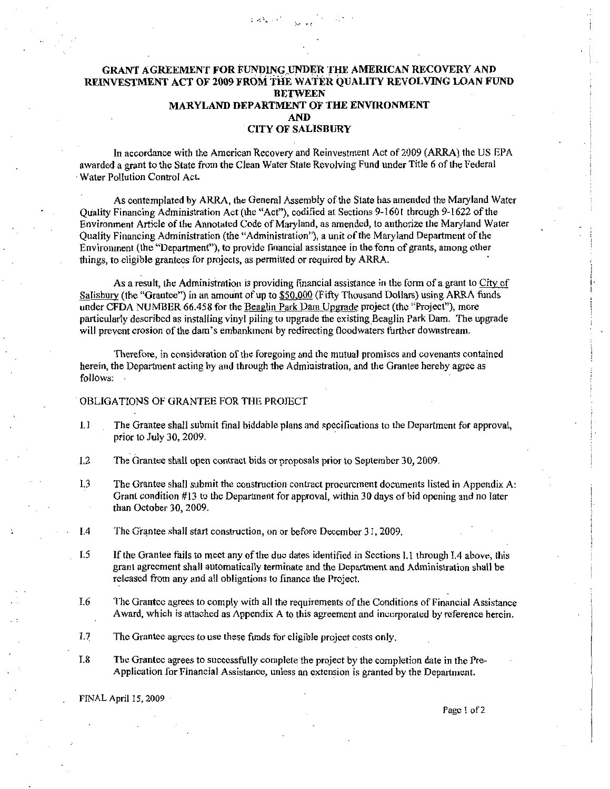### GRANT AGREEMENT FOR FUNDING UNDER THE AMERICAN RECOVERY AND<br>NVESTMENT ACT OF 2009 FROM THE WATER QUALITY REVOLVING LOAN FU<br>BETWEEN REINVESTMENT ACT OF 2009 FROM THE WATER OUALITY REVOLVING LOAN FUND MARYLAND DEPARTMENT OF THE ENVIRONMENT AND **CITY OF SALISBURY**

 $2.334 \times 10^{-10}$ 

In accordance with the American Recovery and Reinvestment Act of 2009 (ARRA) the US EPA awarded <sup>a</sup> grant to the State from the Clean Water State Revolving Fund under Title <sup>6</sup> of the Federal Water Pollution Control Act

As contemplated by ARRA, the General Assembly of the State has amended the Maryland Water Quality Financing Administration Act (the "Act"), codified at Sections 9-1601 through 9-1622 of the Environment Article of the Annotated Code of Maryland, as amended, to authorize the Maryland Water Quality Financing Administration (the "Administration"), a unit of the Maryland Department of the Environment (the "Department"), to provide financial assistance in the form of grants, among other things, to eligible grantees for projects, as permitted or required by ARRA.

As a result, the Administration is providing financial assistance in the form of a grant to City of As a result, the Administration is providing financial assistance in the form of a grant to City s<br>Salisbury (the "Grantee") in an amount of up to \$50,000 (Fifty Thousand Dollars) using ARRA funds Salisbury (the "Grantee") in an amount of up to \$50,000 (Fifty Thousand Dollars) using ARRA funds<br>under CFDA NUMBER 66.458 for the <u>Beaglin Park Dam Upgrade</u> project (the "Project"), more<br>particularly described as installi

Therefore, in consideration of the foregoing and the mutual promises and covenants contained herein, the Department acting by and through the Administration, and the Grantee hereby agree as follows

#### OBLIGATIONS OF GRANTEE FOR THE PROJECT

- 1 The Grantee shall submit final biddable plans and specifications to the Department for approval prior to July 30, 2009.
- $L2$  The Grantee shall open contract bids or proposals prior to September 30, 2009.
- $1.3$  The Grantee shall submit the construction contract procurement documents listed in Appendix A: Grant condition  $\#13$  to the Department for approval, within 30 days of bid opening and no later than October 30, 2009.
- 1.4 The Grantee shall start construction, on or before December 31, 2009.
- $L_5$  If the Grantee fails to meet any of the due dates identified in Sections L through L4 above, this grant agreement shall automatically terminate and the Department and Administration shall be released from any and all obligations to finance the Project
- $L6$  The Grantee agrees to comply with all the requirements of the Conditions of Financial Assistance Award, which is attached as Appendix A to this agreement and incorporated by reference herein.
- 1.7 The Grantee agrees to use these funds for eligible project costs only.
- L8 The Grantee agrees to successfully complete the project by the completion date in the Pre Application for Financial Assistance, unless an extension is granted by the Department.

FINAL April 15, 2009

Page 1 of 2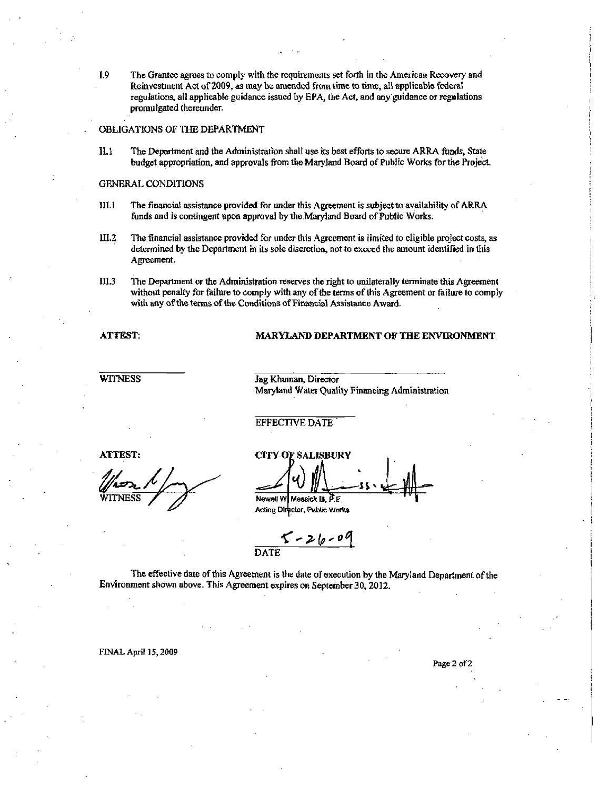$1.9$ The Grantee agrees to comply with the requirements set forth in the American Recovery and Reinvestment Act of 2009, as may be amended from time to time, all applicable federal regulations, all applicable guidance issued by EPA, the Act, and any guidance or regulations promulgated thereunder.

#### OBLIGATIONS OF THE DEPARTMENT

 $II.1$ The Department and the Administration shall use its best efforts to secure ARRA funds, State budget appropriation, and approvals from the Maryland Board of Public Works for the Project.

#### **GENERAL CONDITIONS**

- $III.1$ The financial assistance provided for under this Agreement is subject to availability of ARRA funds and is contingent upon approval by the Maryland Board of Public Works.
- $III.2$ The financial assistance provided for under this Agreement is limited to eligible project costs, as determined by the Department in its sole discretion, not to exceed the amount identified in this Agreement.
- $III.3$ The Department or the Administration reserves the right to unilaterally terminate this Agreement without penalty for failure to comply with any of the terms of this Agreement or failure to comply with any of the terms of the Conditions of Financial Assistance Award.

#### **ATTEST:**

#### MARYLAND DEPARTMENT OF THE ENVIRONMENT

**WITNESS** 

Jag Khuman, Director Maryland Water Quality Financing Administration

#### **EFFECTIVE DATE**

**ATTEST:** 

**CITY OF SALISBURY** Newell W Messick III, P.E.

Acting Director, Public Works

 $5 - 26 - 09$ DATE

The effective date of this Agreement is the date of execution by the Maryland Department of the Environment shown above. This Agreement expires on September 30, 2012.

FINAL April 15, 2009

Page 2 of 2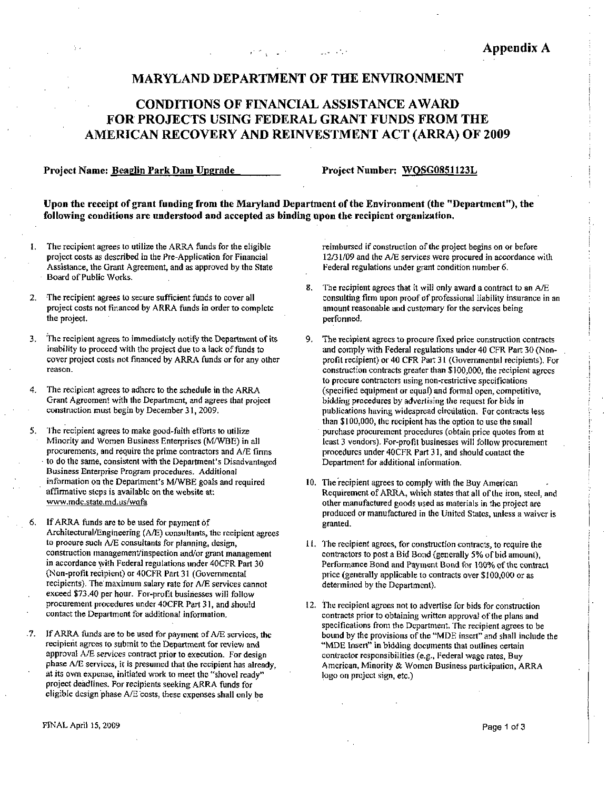#### **MARYLAND DEPARTMENT OF THE ENVIRONMENT**

### **CONDITIONS OF FINANCIAL ASSISTANCE AWARD** FOR PROJECTS USING FEDERAL GRANT FUNDS FROM THE AMERICAN RECOVERY AND REINVESTMENT ACT (ARRA) OF 2009

#### Project Name: Beaglin Park Dam Upgrade

Project Number: WOSG0851123L

Upon the receipt of grant funding from the Maryland Department of the Environment (the "Department"), the following conditions are understood and accepted as binding upon the recipient organization.

- The recipient agrees to utilize the ARRA funds for the eligible project costs as described in the Pre-Application for Financial Assistance, the Grant Agreement, and as approved by the State Board of Public Works.
- The recipient agrees to secure sufficient funds to cover all project costs not financed by ARRA funds in order to complete the project.
- $3<sub>1</sub>$ The recipient agrees to immediately notify the Department of its inability to proceed with the project due to a lack of funds to cover project costs not financed by ARRA funds or for any other reason.
- The recipient agrees to adhere to the schedule in the ARRA  $\blacktriangleleft$ Grant Agreement with the Department, and agrees that project construction must begin by December 31, 2009.
- The recipient agrees to make good-faith efforts to utilize 5. Minority and Women Business Enterprises (M/WBE) in all procurements, and require the prime contractors and A/E firms to do the same, consistent with the Department's Disadvantaged Business Enterprise Program procedures. Additional information on the Department's M/WBE goals and required affirmative steps is available on the website at: www.mdc.state.md.us/wqfa
- If ARRA funds are to be used for payment of Architectural/Engineering (A/E) consultants, the recipient agrees to procure such A/E consultants for planning, design, construction management/inspection and/or grant management in accordance with Federal regulations under 40CFR Part 30 (Non-profit recipient) or 40CFR Part 31 (Governmental recipients). The maximum salary rate for A/E services cannot exceed \$73.40 per hour. For-profit businesses will follow procurement procedures under 40CFR Part 31, and should contact the Department for additional information.
- $.7.$ If ARRA funds are to be used for payment of A/E services, the recipient agrees to submit to the Department for review and approval A/E services contract prior to execution. For design phase A/E services, it is presumed that the recipient has already. at its own expense, initiated work to meet the "shovel ready" project deadlines. For recipients seeking ARRA funds for eligible design phase A/E costs, these expenses shall only be

reimbursed if construction of the project begins on or before 12/31/09 and the A/E services were procured in accordance with Federal regulations under grant condition number 6.

- $\overline{\mathbf{R}}$ The recipient agrees that it will only award a contract to an A/E consulting firm upon proof of professional liability insurance in an amount reasonable and customary for the services being performed.
- 9, The recipient agrees to procure fixed price construction contracts and comply with Federal regulations under 40 CFR Part 30 (Nonprofit recipient) or 40 CFR Part 31 (Governmental recipients). For construction contracts greater than \$100,000, the recipient agrees to procure contractors using non-restrictive specifications (specified equipment or equal) and formal open, competitive, bidding procedures by advertising the request for bids in publications having widespread circulation. For contracts less than \$100,000, the recipient has the option to use the small purchase procurement procedures (obtain price quotes from at least 3 vendors). For-profit businesses will follow procurement procedures under 40CFR Part 31, and should contact the Department for additional information.
- 10. The recipient agrees to comply with the Buy American Requirement of ARRA, which states that all of the iron, steel, and other manufactured goods used as materials in the project are produced or manufactured in the United States, unless a waiver is granted.
- 11. The recipient agrees, for construction contracts, to require the contractors to post a Bid Bond (generally 5% of bid amount), Performance Bond and Payment Bond for 100% of the contract price (generally applicable to contracts over \$100,000 or as determined by the Department).
- 12. The recipient agrees not to advertise for bids for construction contracts prior to obtaining written approval of the plans and specifications from the Department. The recipient agrees to be bound by the provisions of the "MDE insert" and shall include the "MDE Insert" in bidding documents that outlines certain contractor responsibilities (e.g., Federal wage rates, Buy American, Minority & Women Business participation, ARRA logo on project sign, etc.)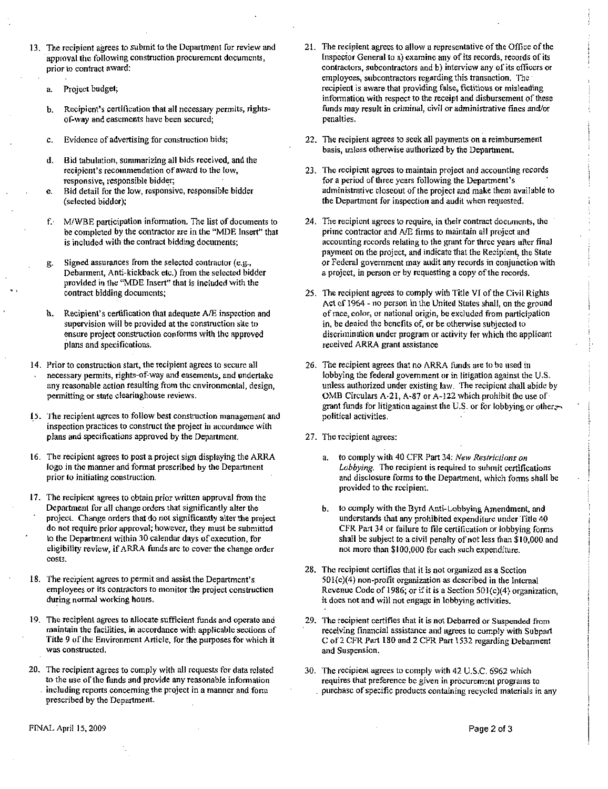- 13. The recipient agrees to submit to the Department for review and approval the following construction procurement documents prior to contract award The recipient agrees to submit to the Department for review and<br>approval the following construction procurement decuments,<br>prior to contract award:<br>a. Project budget;<br>b. Recipient's certification that all necessary permits
	- a. Project budget;
	-
	- c. Evidence of advertising for construction bids;
	- d. Bid tabulation, summarizing all bids received, and the of-way and easements have been secured;<br>Evidence of advertising for construction bids;<br>Bid tabulation, summarizing all bids received, are<br>recipient's recommendation of award to the low,<br>responsive, responsible bidder;<br>Bid responsive, responsible bidder;
	- e. Bid detail for the low, responsive, responsible bidder (selected bidder);
	- f. M/WBE participation information. The list of documents to be completed by the contractor are in the "MDE Insert" that is included with the contract bidding documents
	- g. Signed assurances from the selected contractor (e.g., g. Signed assurances from the selected contractor (e.g.,<br>Debarment, Anti-kickback etc.) from the selected bidder<br>provided in the "MDE Insert" that is included with the<br>contract bidding documents;<br>h. Recipient's certificati provided in the "MDE Insert" that is included with the contract bidding documents
	- Recipient's certification that adequate A/E inspection and<br>supervision will be provided at the construction site to ensure project constmction conforms with the approved plans and specifications
- 14. Prior to construction start, the recipient agrees to secure all<br>necessary permits, rights-of-way and easements, and undertake necessary permits rights of way and easements with the approved<br>Plans and specifications.<br>Prior to construction start, the recipient agrees to secure all<br>necessary permits, rights-of-way and easements, and undertake<br>any re permitting or state clearinghouse reviews.
- 15. The recipient agrees to follow best construction management and inspection practices to constmct the project in accordance with plans and specifications approved by the Department
- 16. The recipient agrees to post a project sign displaying the ARRA logo in he manner and format prescribed by the Department prior to initiating construction.
- 17. The recipient agrees to obtain prior written approval from the Department for all change orders that significantly alter the project. Change orders that do not significantly alter the project do not require prior approval; however, they must be submitted to the Department within 30 calendar days of execution, for eligibility review, if ARRA funds are to cover the change order costs
- 18. The recipient agrees to permit and assist the Department's employees or its contractors to monitor the project construction during normal working hours
- 19. The recipient agrees to allocate sufficient funds and operate and maintain the facilities, in accordance with applicable sections of Title 9 of the Environment Article, for the purposes for which it was constructed
- 20. The recipient agrees to comply with all requests for data related to the use of the funds and provide any reasonable information including reports concerning the project in a manner and form prescribed by the Department
- 21. The recipient agrees to allow a representative of the Office of the Inspector General to a) examine any of its records, records of its contractors, subcontractors and b) interview any of its officers or employees, subcontractors regarding this transaction. The recipient is aware that providing false, fictitious or misleading information with respect to the receipt and disbursement of these funds may result in criminal, civil or administrative fines and/or penalties
- 22. The recipient agrees to seek all payments on a reimbursement basis, unless otherwise authorized by the Department.
- 23 The recipient agrees to maintain project and accounting records for <sup>a</sup> period of three years following the administrative closeout of the project and make them available to on a reimbur<br>Department.<br>Department's<br>Department's<br>I make them a<br>when requeste he Department for inspection and audit when requested
- 24. The recipient agrees to require, in their contract documents, the prime contractor and AEfirms to maintain all project and accounting records relating to the grant for three years after final payment on the project, and indicate that the Recipient, the State or Federal government may audit any records in conjunction with a project, in person or by requesting a copy of the records.
- 25. The recipient agrees to comply with Title VI of the Civil Rights Act of 1964 - no person in the United States shall, on the ground of race, color, or national origin, be excluded from participation in, be denied the benefits of, or be otherwise subjected to discrimination under program oractivity for which the applicant received ARRA grant assistance
- 26 The recipient agrees that no ARRA funds are to be used in lobbying the federal government or in litigation against the U.S. lobbying the federal government or in litigation against the U.S.<br>unless authorized under existing law. The recipient shall abide by<br>OMB Circulars A-21, A-87 or A-122 which prohibit the use of<br>graph finds for litigation ag OMB Circulars A-21, A-87 or A-122 which prohibit the use of grant funds for litigation against the U.S. or for lobbying or other political activities
- 27. The recipient agrees:
	- a. to comply with 40 CFR Part 34: New Restrictions on Lobbying. The recipient is required to submit certifications and disclosure forms to the Department, which forms shall be provided to the recipient
- b. to comply with the Byrd Anti-Lobbying Amendment, and understands that any prohibited expenditure under Title 40 by the interact government of an infiguro against the 0.3.<br>
So authorized under existing law. The recipient shall abide is<br>
defined as Circulars A-21, A-87 or A-122 which prohibit the use of<br>
funds for literation against t CFR Part 34 or failure to file certification or lobbying forms<br>shall be subject to a civil penalty of not less than  $$10,000$  and<br>not mem than  $$100,000$  for each sub superditum. shall be subject to a civil penalty of not less than  $$10,000$  and not more than  $$100,000$  for each such expenditure.
- 28. The recipient certifies that it is not organized as a Section  $501(c)(4)$  non-profit organization as described in the Internal shall be subject to a civil penalty of not less than \$10,000 and<br>not more than \$100,000 for each such expenditure.<br>The recipient certifies that it is not organized as a Section<br> $501(c)(4)$  non-profit organization as describ it does not and will not engage in lobbying activities.
- 29. The recipient certifies that it is not Debarred or Suspended from receiving financial assistance and agrees to comply with Subpart <sup>C</sup> of <sup>2</sup> CFR Part 180 and <sup>2</sup> CPR Part <sup>1</sup> S32 regarding Debarment and Suspension
- 30. The recipient agrees to comply with 42 U.S.C. 6962 which requires that preference be given in procurement programs to purchase of specific products containing recycled materials in any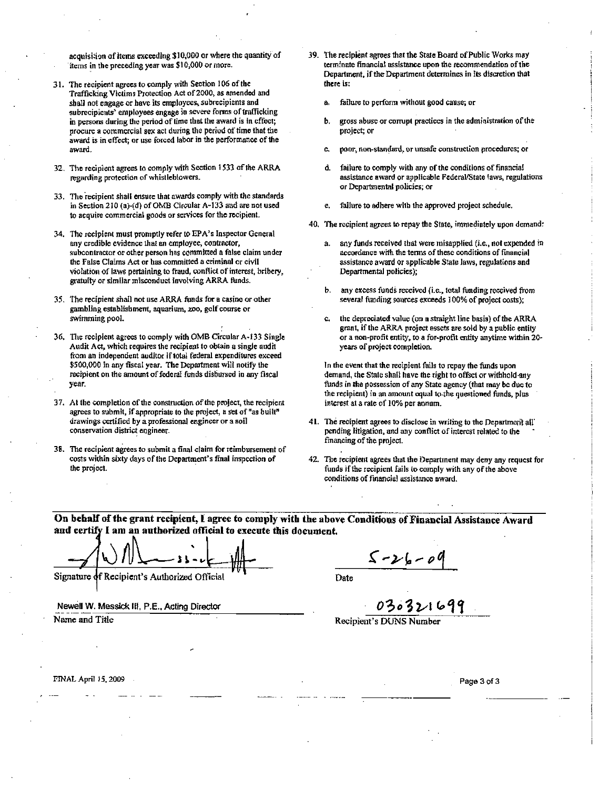acquisition of items exceeding \$10,000 or where the quantity of items in the preceding year was \$10,000 or more.

- 31. The recipient agrees to comply with Section 106 of the Trafficking Victims Protection Act of 2000, as amended and shall not engage or have its employees, subrecipients and subrecipicnts' employees engage in severe forms of trafficking in persons during the period of time that the award is in effect, procure a commercial sex act during the period of time that the award is in effect; or use forced labor in the performance of the award.
- 32. The recipient agrees to comply with Section 1533 of the ARRA regarding protection of whistleblowers.
- 33. The recipient shall ensure that awards comply with the standards in Section 210 (a)-(d) of OMB Circular A-133 and are not used to acquire commercial goods or services for the recipient.
- 34. The recipient must promptly refer to EPA's Inspector General any credible evidence that an employee, contractor, subcontractor or other person has committed a false claim under the False Claims Act or has committed a criminal or civil violation of laws pertaining to fraud, conflict of interest, bribery, gratuity or similar misconduct involving ARRA funds.
- 35. The recipient shall not use ARRA funds for a casino or other gambling establishment, aquarium, zoo, golf course or swimming pool.
- 36. The recipient agrees to comply with OMB Circular A-133 Single Audit Act, which requires the recipient to obtain a single audit from an independent auditor if total federal expenditures exceed \$500,000 in any fiscal year. The Department will notify the recipient on the amount of federal funds disbursed in any fiscal year.
- 37. At the completion of the construction of the project, the recipient agrees to submit, if appropriate to the project, a set of "as built" drawings certified by a professional engineer or a soil conservation district engineer.
- 38. The recipient agrees to submit a final claim for reimbursement of costs within sixty days of the Department's final inspection of the project.
- 39. The recipient agrees that the State Board of Public Works may terminate financial assistance upon the recommendation of the Department, if the Department determines in its discretion that there is:
	- failure to perform without good cause; or a.
	- gross abuse or corrupt practices in the administration of the ħ. project; or
	- poor, non-standard, or unsafe construction procedures; or
	- đ. failure to comply with any of the conditions of financial assistance award or applicable Federal/State laws, regulations or Departmental policies; or
	- failure to adhere with the approved project schedule. e.
- 40. The recipient agrees to repay the State, immediately upon demand:
	- any funds received that were misapplied (i.e., not expended in accordance with the terms of these conditions of financial assistance award or applicable State laws, regulations and Departmental policies);
	- any excess funds received (i.e., total funding received from h., several funding sources exceeds 100% of project costs);
	- the depreciated value (on a straight line basis) of the ARRA c. grant, if the ARRA project assets are sold by a public entity or a non-profit entity, to a for-profit entity anytime within 20years of project completion.

In the event that the recipient fails to repay the funds upon demand, the State shall have the right to offset or withhold any funds in the possession of any State agency (that may be due to the recipient) in an amount equal to the questioned funds, plus interest at a rate of 10% per annum.

- 41. The recipient agrees to disclose in writing to the Department all pending litigation, and any conflict of interest related to the financing of the project.
- 42. The recipient agrees that the Department may deny any request for funds if the recipient fails to comply with any of the above conditions of financial assistance award.

On behalf of the grant recipient, I agree to comply with the above Conditions of Financial Assistance Award and certify I am an authorized official to execute this document.

Signature of Recipient's Authorized Official

Newell W. Messick III, P.E., Acting Director Name and Title

 $5 - 26 - 06$ 

Date

030321699

Recipient's DUNS Number

FINAL April 15, 2009

Page 3 of 3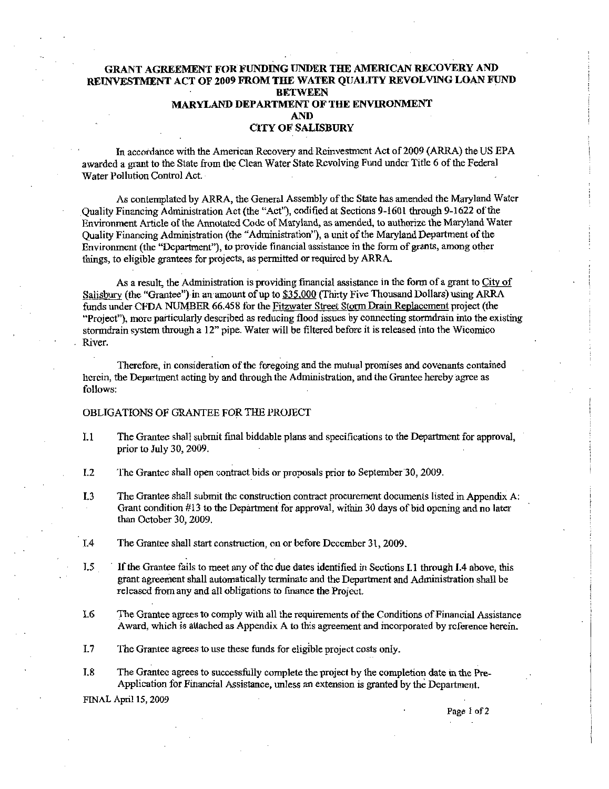#### GRANT AGREEMENT FOR FUNDING UNDER THE AMERICAN RECOVERY AND RELNVESTMENT ACT OF2009 FROM THE WATER QUALITY REVOLVING LOAN FUND **BETWEEN** MARYLAND DEPARTMENT OF THE ENVIRONMENT AND CITY OF SALISBURY

In accordance with the American Recovery and Reinvestment Act of 2009 (ARRA) the US EPA awarded a grant to the State from the Clean Water State Revolving Fund under Title 6 of the Federal Water Pollution Control Act.

As contemplated by ARRA, the General Assembly of the State has amended the Maryland Water Quality Financing Administration Act (the "Act"), codified at Sections 9-1601 through 9-1622 of the Environment Article of the Annotated Codc of Maryland, as amended, to authorize the Maryland Water Quality Financing Administration (the "Administration"), a unit of the Maryland Department of the Environment (the "Department"), to provide financial assistance in the form of grants, among other things, to eligible grantees for projects, as permitted or required by ARRA.

As a result, the Administration is providing financial assistance in the form of a grant to City of Salisbury (the "Grantee") in an amount of up to \$35,000 (Thirty Five Thousand Dollars) using ARRA funds under CFDA NUMBER 66.458 for the Fitzwater Street Storm Drain Replacement project (the "Project"), more particularly described as reducing flood issues by connecting stormdrain into the existing stormdrain system through a 12" pipe. Water will be filtered before it is released into the Wicomico River

Therefore, in consideration of the foregoing and the mutual promises and covenants contained herein, the Department acting by and through the Administration, and the Grantee hereby agree as follows

#### OBLIGATIONS OF GRANTEE FOR THE PROJECT

- I.1 The Grantee shall submit final biddable plans and specifications to the Department for approval, prior to July 30, 2009.
- L2 The Grantee shall open contract bids or proposals prior to September 30, 2009.
- I.3 The Grantee shall submit the construction contract procurement documents listed in Appendix A: Grant condition  $\#13$  to the Department for approval, within 30 days of bid opening and no later than October 30, 2009.
- 1.4 The Grantee shall start construction, on or before December 31, 2009.
- 1.5 If the Grantee fails to meet any of the due dates identified in Sections I.1 through I.4 above, this grant agreement shall automatically terminate and the Depurtrnent and Administration shall be released from any and all obligations to fmance the Project
- L6 The Grantee agrees to comply with all the requirements of the Conditions of Financial Assistance Award, which is attached as Appendix A to this agreement and incorporated by reference herein.
- I.7 The Grantee agrees to use these funds for eligible project costs only.<br>
I.8 The Grantee agrees to successfully complete the project by the comp
- The Grantee agrees to successfully complete the project by the completion date in the Pre-Application for Financial Assistance, unless an extension is granted by the Department.

FINAL April 15, 2009

Page 1 of 2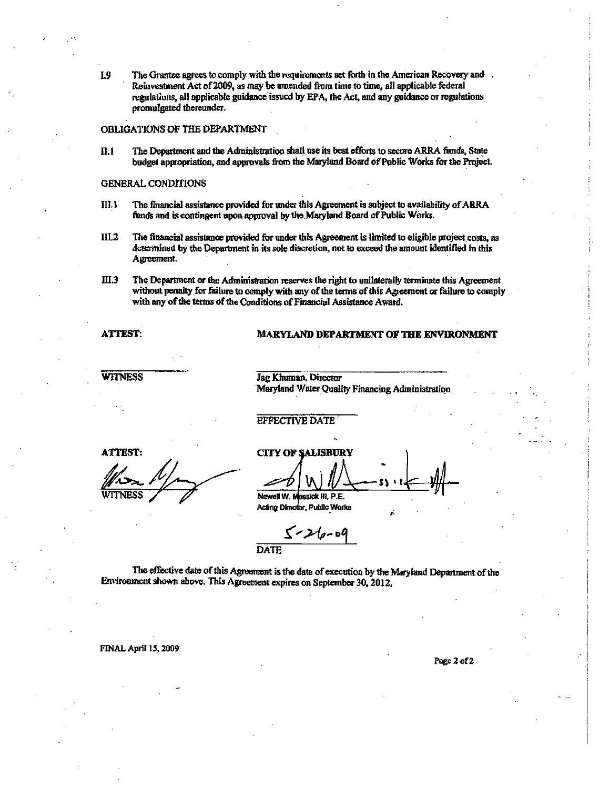$I.9$ The Grantee agrees to comply with the requirements set forth in the American Recovery and . Reinvestment Act of 2009, as may be amended from time to time, all applicable federal regulations, all applicable guidance issued by EPA, the Act, and any guidance or regulations promulgated thereunder.

#### OBLIGATIONS OF THE DEPARTMENT

 $\Pi.1$ The Department and the Administration shall use its best efforts to secure ARRA funds, State budget appropriation, and approvals from the Maryland Board of Public Works for the Project.

#### **GENERAL CONDITIONS**

- The financial assistance provided for under this Agreement is subject to availability of ARRA  $III.1$ funds and is contingent upon approval by the Maryland Board of Public Works.
- $III.2$ The financial assistance provided for under this Agreement is limited to eligible project costs, as determined by the Department in its sole discretion, not to exceed the amount identified in this Agreement.
- **HI.3** The Department or the Administration reserves the right to unilaterally terminate this Agreement without penalty for failure to comply with any of the terms of this Agreement or failure to comply with any of the terms of the Conditions of Financial Assistance Award.

#### **ATTEST:**

#### MARYLAND DEPARTMENT OF THE ENVIRONMENT

#### **WITNESS**

Jag Khuman, Director Maryland Water Quality Financing Administration

#### **EFFECTIVE DATE**

**ATTEST:** 

WITNESS

**CITY OF SALISBURY** Newell W. Mossick Hi, P.E.

Acting Director, Public Works

 $5 - 26 - 66$ **DATE** 

The effective date of this Agreement is the date of execution by the Maryland Department of the Environment shown above. This Agreement expires on September 30, 2012.

FINAL April 15, 2009

Page 2 of 2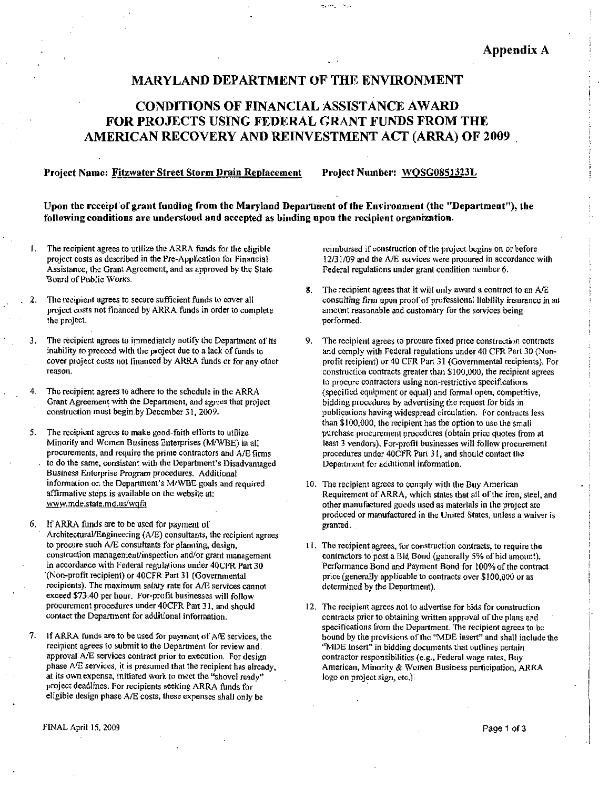#### MARYLAND DEPARTMENT OF THE ENVIRONMENT

نزابل الراجمة ورما

### CONDTTIONS OF FINANCIAL ASSISTANCE AWARD FOR PROJECTS USINC FEDERAL GRANT FUNDS FROM THE AMERICAN RECOVERY AND REINVESTMENT ACT (ARRA) OF 2009

#### Project Name: Fitzwater Street Storm Drain Replacement Project Number: WOSG08513231.

Upon the receipt of grant funding from the Maryland Department of the Environment (the "Department"), the following conditions are understood and accepted as binding upon the recipient organization

- 1. The recipient agrees to utilize the ARRA funds for the eligible<br>project costs as described in the Pre-Application for Financial<br>Assistance, the Grant Agreement, and as approved by the State Assistance, the Grant Agreement, and as approved by the State Board Of Public Works
- The recipient agrees to secure sufficient funds to cover all project costs not financed by ARRA funds in order to complete the project
- The recipient agrees to immediately notify the Department of its inability to proceed with the project due to <sup>a</sup> lack of funds to cover project costs not financed by ARRA funds or for any other reason
- 4. The recipient agrees to adhere to the schedule in the ARRA Fire recipient agrees to address to the schedule in the AKKA<br>Grant Agreement with the Department, and agrees that project<br>construction must begin by December 31, 2009.
- 5. The recipient agrees to make good-faith efforts to utilize construction must begin by December 31, 2009.<br>The recipient agrees to make good-faith efforts to utilize<br>Minority and Women Business Enterprises (M/WBE) in all<br>procurements, and require the prime contractors and A/E firn<br>t Minority and Women Business Enterprises (M/WBE) in all procurements, and require the prime contractors and  $A/E$  firms to do the same, consistent with the Department's Disadvantaged The recipient agrees to adhere to the schedule in the ARRA<br>Grant Agreement with the Department, and agrees that project<br>construction must begin by December 31, 2009.<br>The recipient agrees to make good-faith efforts to utili affirmative steps is available on the website at: Business Enterprise Program procedures. Additional<br>information on the Department's M/WBE goals and required<br>affirmative steps is available on the website at:<br>www.mde.state.md.us/wqfa
- 6. If ARRA funds are to be used for payment of Architectural/Engineering  $(A/E)$  consultants, the recipient agrees to procure such A/E consultants for planning, design, construction management/inspection and/or grant management in accordance with Federal regulations under 40CFR Part 30<br>(Non-profit recipient) or 40CFR Part 31 (Governmental (Non-profit recipient) or 40CFR Part 31 (Governmental<br>recipients). The maximum salary rate for A/E services cannot exceed \$73.40 per hour. For-profit businesses will follow procurement procedures under 40CFR Part 31, and should contact the Department for additional information.
- 7. If ARRA funds are to be used for payment of A/E services, the recipient agrees to submit to the Department for review and. approval A/E services contract prior to execution. For design phase A/E services, it is presumed that the recipient has already, at its own expense, initiated work to meet the "shovel ready" project deadlines. For recipients seeking ARRA funds for eligible design phase A/E costs, these expenses shall only be

reimbursed if construction of the project begins on or before 123109and the AIB services were procured in accordance with Federal regulations under grant condition number 6.

- The recipient agrees that it will only award a contract to an A/E consulting firm upon proof of professional liability insurance in an amount reasonable and customary for the services being performed
- 9. The recipient agrees to procure fixed price construction contracts and comply with Federal regulations under 40 CFR Part 30 (Nonprofit recipient) or 40 CFR Part 31 (Governmental recipients). For profit recipient) or 40 CFR Part 31 (Governmental recipients). For construction contracts greater than \$100,000, the recipient agrees<br>to procure contractors using non-restrictive specifications<br>(specified equipment or equa to procure contractors using non-restrictive specifications<br>(specified equipment or equal) and formal open, competitive. bidding procedures by advertising the request for bids in publications having widespread circulation. For contracts less than \$100,000, the recipient has the option to use the small purchase procurement procedures (obtain price quotes from at purchase procurement procedures (obtain price quotes from at<br>least 3 vendors). For-profit businesses will follow procurement<br>procedures under 40CFR Part 31, and should contact the<br>Department for additional information procedures under 40CFR Part 31, and should contact the Department for additional information.
- 10. The recipient agrees to comply with the Buy American Requirement of ARRA, which states that all of the iron, steel, and other manufactured goods used as materials in the project arc produced or manufactured in the United States, unless a waiver is granted
- 11. The recipient agrees, for construction contracts, to require the contractors to post a Bid Bond (generally 5% of bid amount), The recipient agrees, for construction contracts, to require the contractors to post a Bid Bond (generally 5% of bid amount), Performance Bond and Payment Bond for 100% of the contract price (generally orplicable to contra contractors to post a Bid Bond (generally 3% of bid amoun<br>Performance Bond and Payment Bond for 100% of the con-<br>price (generally applicable to contracts over \$100,000 or as<br>determined by the Department) determined by the Department
- 12. The recipient agrees not to advertise for bids for construction contracts prior to obtaining written approval of the plans and The recipient agrees not to advertise for bids for construction<br>contracts prior to obtaining written approval of the plans and<br>specifications from the Department. The recipient agrees to be<br>bound by the provisions of the " bound by the provisions of the "MDE insert" and shall include the "MDE Insert" in bidding documents that outlines certain contractor responsibilities (e.g., Federal wage rates, Buy American, Minority & Women Business participation, ARRA logo on project sign, etc.).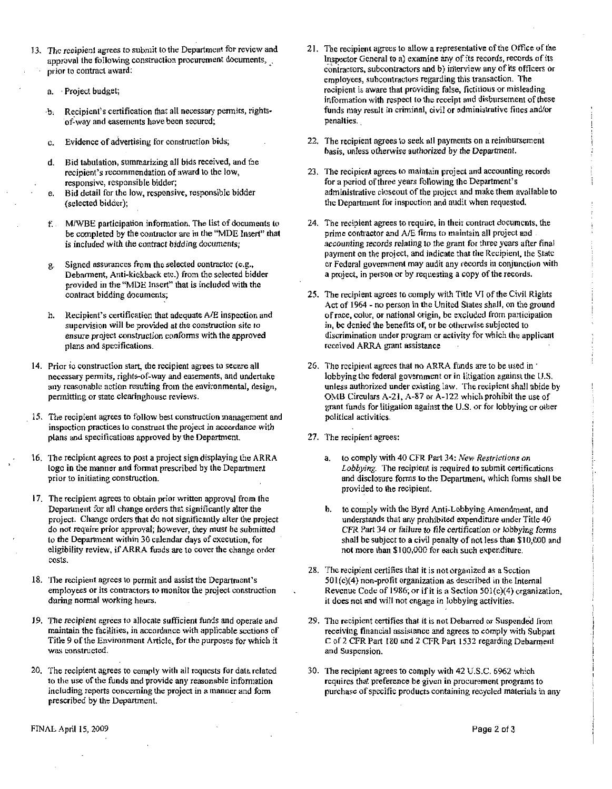- 73. The recipient agrees to submit to the Department for review and<br>
approval the following construction procurement documents,<br>
prior to contract award:<br>
a. Project budget;<br>
b. Recipient's certification that all necessary approval the following construction procurement documents, prior to contract award.
	- a. Project budget;
	- Recipient's certification that all necessary permits, rights-<br>of-way and easements have been secured;
	- c. Evidence of advertising for construction bids;
	- d Bid tabulation, summarizing all bids received, and the Recipient's certification that all necessary permit<br>of-way and easements have been secured;<br>Evidence of advertising for construction bids;<br>Bid tabulation, summarizing all bids received, an<br>recipient's recommendation of awa responsive, responsible bidder;
	- e. Bid detail for the low, responsive, responsible bidder (selected bidder);
	- f. M/WBE participation information. The list of documents to be completed by the contractor are in the "MDE Insert" that is included with the contract bidding documents;
	- g Signed assurances from the selected contractor (e.g.,<br>Debarment, Anti-kickback etc.) from the selected bidder Debarment, Anti-kickback etc.) from the selected bidder<br>provided in the "MDE Insert" that is included with the contract bidding documents;
	- h. Recipient's certification that adequate A/E inspection and supervision will be provided at the construction site to ensure project construction conforms with the approved plans and specifications
- 14. Prior to construction start, the recipient agrees to secure all necessary permits rights of way and easements and undertake<br>
Prior to construction start, the recipient agrees to secure all<br>
necessary permits, rights-of-way and easements, and undertake<br>
any reasonable action resulting f permitting or state clearinghouse reviews.
- 15 The recipient agrees to follow best construction management and inspection practices to construct the project in accordance with plans and specifications approved by the Department
- 16 The recipient agrees to post <sup>a</sup> project sign displaying the ARRA logo in the manner and format prescribed by the Department prior to initiating construction.
- I7 The recipient agrees to obtain prior written approval from the Department for all change orders that significantly alter the bepartment for an enalge orders that significantly alter the project<br>
do not require prior approval; however, they must be submitted<br>
to the Department within 30 calendar days of execution, for<br>
eligibility review, if ARRA do not require prior approval; however, they must be submitted to the Department within 30 calendar days of execution, for eligibility review, if ARRA funds are to cover the change order costs
- 18. The recipient agrees to permit and assist the employees or its contractors to monitor the project construction during normal working hours.
- 19. The recipient agrees to allocate sufficient funds and operate and maintain the facilities, in accordance with applicable sections of Title 9 of the Environment Article, for the purposes for which it was constructed.
- 20. The recipient agrees to comply with all requests for data related to the use of the funds and provide any reasonable information including reports concerning the project in a manner and form prescribed by the Department.
- 21. The recipient agrees to allow a representative of the Office of the Inspector General to a) examine any of its records, records of its contractors, subcontractors and b) interview any of its officers or employees, subcontractors regarding this transaction. The recipient is aware that providing false, fictitious or misleading information with respect to the receipt and disbursement of these funds may result in criminal, civil or administrative fines and/or penalties
- 22. The recipient agrees to seek all payments on a reimbursement basis, unless otherwise authorized by the Department.
- 23 The recipient agrees to maintain project and accounting records for a period of three years following the administrative closeout of he project and on a reimbur<br>Department.<br>Ind accountin<br>Department's<br>I make them a<br>when requeste make them available to the Department for inspection and audit when requested.
- 24. The recipient agrees to require, in their contract documents, the prime contractor and A/E firms to maintain all project and accounting records relating to the grant for three years after final payment on the project, and indicate that the Recipient, the State or Federal government may audit any records in conjunction with a project, in person or by requesting a copy of the records.
- 25. The recipient agrees to comply with Title VI of the Civil Rights Act of 1964 no person in the United States shall, on the ground of race, color, or national origin, be excluded from participation in, be denied the benefits of, or be otherwise subjected to discrimination under program oractivity for which Ihu applicant received ARRA grant assistance
- 26. The recipient agrees that no ARRA funds are to be used in ' lobbying the federal government or in litigation against the U.S. In, be defined the benefits of, or be otherwise subjected to<br>discrimination under program or activity for which the applicant<br>received ARRA grant assistance<br>The recipient agrees that no ARRA funds are to be used in<br>lobbyi OMB Circulars A-21, A-87 or  $\overline{A}$ -122 which prohibit the use of grant funds for litigation against the U.S. or for lobbying or other political activities
- 27. The recipient agrees:
	- a. to comply with 40 CFR Part 34: New Restrictions on Lobbying. The recipient is required to submit certifications and disclosure forms to the Department, which forms shall be provided to the recipient
	- b. to comply with the Byrd Anti-Lobbying Amendment, and understands that any prohibited expenditure under Title 40 CFR Part 34 or failure to file certification or lobbying forms<br>shall be subject to a civil penalty of not less than \$10,000 and<br>not more than \$10,000 for our less than 100,000 and shall be subject to a civil penalty of not less than \$10,000 and not more than \$100,000 for each such expenditure. and disclosure forms to the Department, which forms sl<br>provided to the recipient.<br>b. to comply with the Byrd Anti-Lobbying Amendment, a<br>understands that any prohibited expenditure under Title<br>CFR Part 34 or failure to fil
- 28. The recipient certifies that it is not organized as a Section  $501(c)(4)$  non-profit organization as described in the Internal<br>Revenue Code of 1986; or if it is a Section  $501(c)(4)$  organization,<br>it does not and will not engage in lobbying activities.
- 29. The recipient certifies that it is not Debarred or Suspended from receiving financial assistance and agrees to comply with Subpart C of 2 CFR Part 180 and 2 CFR Part 1532 regarding Debarment and Suspension
- 30. The recipient agrees to comply with 42 U.S.C. 6962 which requires that preference he given in procurement programs to purchase of specific products containing recycled materials in any